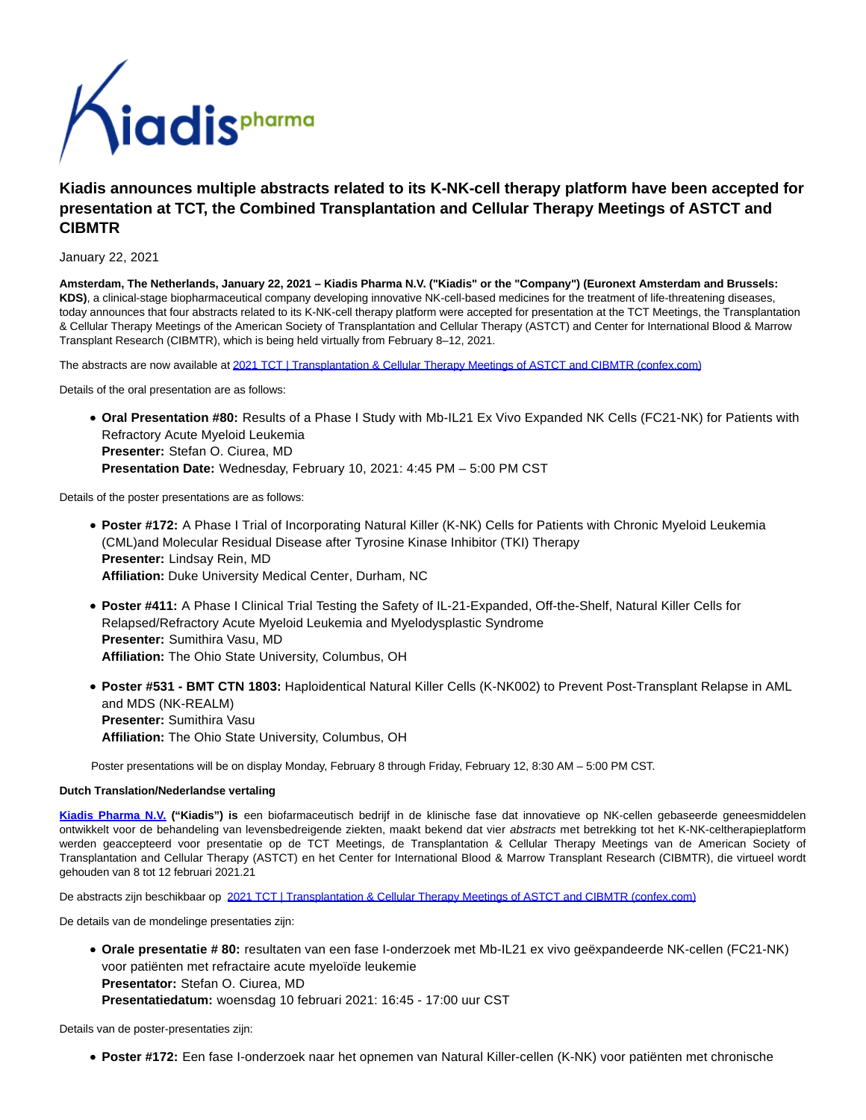

# **Kiadis announces multiple abstracts related to its K-NK-cell therapy platform have been accepted for presentation at TCT, the Combined Transplantation and Cellular Therapy Meetings of ASTCT and CIBMTR**

January 22, 2021

**Amsterdam, The Netherlands, January 22, 2021 – Kiadis Pharma N.V. ("Kiadis" or the "Company") (Euronext Amsterdam and Brussels: KDS)**, a clinical-stage biopharmaceutical company developing innovative NK-cell-based medicines for the treatment of life-threatening diseases, today announces that four abstracts related to its K-NK-cell therapy platform were accepted for presentation at the TCT Meetings, the Transplantation & Cellular Therapy Meetings of the American Society of Transplantation and Cellular Therapy (ASTCT) and Center for International Blood & Marrow Transplant Research (CIBMTR), which is being held virtually from February 8–12, 2021.

The abstracts are now available at [2021 TCT | Transplantation & Cellular Therapy Meetings of ASTCT and CIBMTR \(confex.com\)](https://www.globenewswire.com/Tracker?data=pzeEQZz0odbSqHhof6P6WVF7YdNVurV8CxHmiGolFUcpu9muKl-FmAhFdKssXRD3td0sKGNu-qs1iB8eY8FiSl3r3UkArS1AUUgHhAJBy6kz6p2rLROiSoYjvlr6-fzG56cjty77nPLv6-Mh1ocpmMIkuONKX4lsJwalBGQohGRSf63vfzxrVpuYk7sOXrFF9IC2ruwFzJyCf556p-FoJJFhSDY6M53BQsfu8dxNIKE=)

Details of the oral presentation are as follows:

**Oral Presentation #80:** Results of a Phase I Study with Mb-IL21 Ex Vivo Expanded NK Cells (FC21-NK) for Patients with Refractory Acute Myeloid Leukemia **Presenter:** Stefan O. Ciurea, MD **Presentation Date:** Wednesday, February 10, 2021: 4:45 PM – 5:00 PM CST

Details of the poster presentations are as follows:

- **Poster #172:** A Phase I Trial of Incorporating Natural Killer (K-NK) Cells for Patients with Chronic Myeloid Leukemia (CML)and Molecular Residual Disease after Tyrosine Kinase Inhibitor (TKI) Therapy **Presenter:** Lindsay Rein, MD **Affiliation:** Duke University Medical Center, Durham, NC
- **Poster #411:** A Phase I Clinical Trial Testing the Safety of IL-21-Expanded, Off-the-Shelf, Natural Killer Cells for Relapsed/Refractory Acute Myeloid Leukemia and Myelodysplastic Syndrome **Presenter:** Sumithira Vasu, MD **Affiliation:** The Ohio State University, Columbus, OH
- **Poster #531 BMT CTN 1803:** Haploidentical Natural Killer Cells (K-NK002) to Prevent Post-Transplant Relapse in AML and MDS (NK-REALM) **Presenter:** Sumithira Vasu **Affiliation:** The Ohio State University, Columbus, OH

Poster presentations will be on display Monday, February 8 through Friday, February 12, 8:30 AM – 5:00 PM CST.

## **Dutch Translation/Nederlandse vertaling**

**[Kiadis Pharma N.V.](https://www.globenewswire.com/Tracker?data=gj0keAINkStz1iYlXRhXsEbIsUu-ZLteX5MZtqez0BkDZGsjLzDNuje_SwX9x26RJJwG4FdNam1eKLX1ANXKuBwbfzsvktiVBeS9z1ZFLM4=) ("Kiadis") is** een biofarmaceutisch bedrijf in de klinische fase dat innovatieve op NK-cellen gebaseerde geneesmiddelen ontwikkelt voor de behandeling van levensbedreigende ziekten, maakt bekend dat vier abstracts met betrekking tot het K-NK-celtherapieplatform werden geaccepteerd voor presentatie op de TCT Meetings, de Transplantation & Cellular Therapy Meetings van de American Society of Transplantation and Cellular Therapy (ASTCT) en het Center for International Blood & Marrow Transplant Research (CIBMTR), die virtueel wordt gehouden van 8 tot 12 februari 2021.21

De abstracts zijn beschikbaar op [2021 TCT | Transplantation & Cellular Therapy Meetings of ASTCT and CIBMTR \(confex.com\)](https://www.globenewswire.com/Tracker?data=pzeEQZz0odbSqHhof6P6WVF7YdNVurV8CxHmiGolFUcpu9muKl-FmAhFdKssXRD3td0sKGNu-qs1iB8eY8FiSl3r3UkArS1AUUgHhAJBy6kz6p2rLROiSoYjvlr6-fzGlZLtqS9JWzPC61y6xa5i6jkHUyPMcWO5lhuBfF_9vOuuiLl8yrwwQjCtu49TNmJGEvdQXDu6RekziGjxUby8FsqKWYpUVnn39_DJhvy7qDI=)

De details van de mondelinge presentaties zijn:

**Orale presentatie # 80:** resultaten van een fase I-onderzoek met Mb-IL21 ex vivo geëxpandeerde NK-cellen (FC21-NK) voor patiënten met refractaire acute myeloïde leukemie **Presentator:** Stefan O. Ciurea, MD **Presentatiedatum:** woensdag 10 februari 2021: 16:45 - 17:00 uur CST

Details van de poster-presentaties zijn:

**Poster #172:** Een fase I-onderzoek naar het opnemen van Natural Killer-cellen (K-NK) voor patiënten met chronische